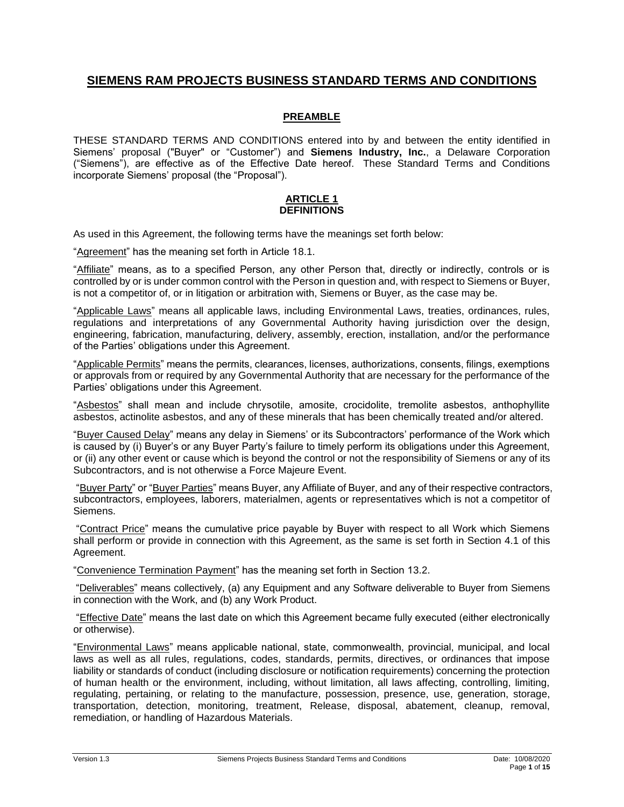# **SIEMENS RAM PROJECTS BUSINESS STANDARD TERMS AND CONDITIONS**

## **PREAMBLE**

THESE STANDARD TERMS AND CONDITIONS entered into by and between the entity identified in Siemens' proposal ("Buyer" or "Customer") and **Siemens Industry, Inc.**, a Delaware Corporation ("Siemens"), are effective as of the Effective Date hereof. These Standard Terms and Conditions incorporate Siemens' proposal (the "Proposal").

#### **ARTICLE 1 DEFINITIONS**

As used in this Agreement, the following terms have the meanings set forth below:

"Agreement" has the meaning set forth in Article 18.1.

"Affiliate" means, as to a specified Person, any other Person that, directly or indirectly, controls or is controlled by or is under common control with the Person in question and, with respect to Siemens or Buyer, is not a competitor of, or in litigation or arbitration with, Siemens or Buyer, as the case may be.

"Applicable Laws" means all applicable laws, including Environmental Laws, treaties, ordinances, rules, regulations and interpretations of any Governmental Authority having jurisdiction over the design, engineering, fabrication, manufacturing, delivery, assembly, erection, installation, and/or the performance of the Parties' obligations under this Agreement.

"Applicable Permits" means the permits, clearances, licenses, authorizations, consents, filings, exemptions or approvals from or required by any Governmental Authority that are necessary for the performance of the Parties' obligations under this Agreement.

"Asbestos" shall mean and include chrysotile, amosite, crocidolite, tremolite asbestos, anthophyllite asbestos, actinolite asbestos, and any of these minerals that has been chemically treated and/or altered.

"Buyer Caused Delay" means any delay in Siemens' or its Subcontractors' performance of the Work which is caused by (i) Buyer's or any Buyer Party's failure to timely perform its obligations under this Agreement, or (ii) any other event or cause which is beyond the control or not the responsibility of Siemens or any of its Subcontractors, and is not otherwise a Force Majeure Event.

"Buyer Party" or "Buyer Parties" means Buyer, any Affiliate of Buyer, and any of their respective contractors, subcontractors, employees, laborers, materialmen, agents or representatives which is not a competitor of Siemens.

"Contract Price" means the cumulative price payable by Buyer with respect to all Work which Siemens shall perform or provide in connection with this Agreement, as the same is set forth in Section 4.1 of this Agreement.

"Convenience Termination Payment" has the meaning set forth in Section 13.2.

"Deliverables" means collectively, (a) any Equipment and any Software deliverable to Buyer from Siemens in connection with the Work, and (b) any Work Product.

"Effective Date" means the last date on which this Agreement became fully executed (either electronically or otherwise).

"Environmental Laws" means applicable national, state, commonwealth, provincial, municipal, and local laws as well as all rules, regulations, codes, standards, permits, directives, or ordinances that impose liability or standards of conduct (including disclosure or notification requirements) concerning the protection of human health or the environment, including, without limitation, all laws affecting, controlling, limiting, regulating, pertaining, or relating to the manufacture, possession, presence, use, generation, storage, transportation, detection, monitoring, treatment, Release, disposal, abatement, cleanup, removal, remediation, or handling of Hazardous Materials.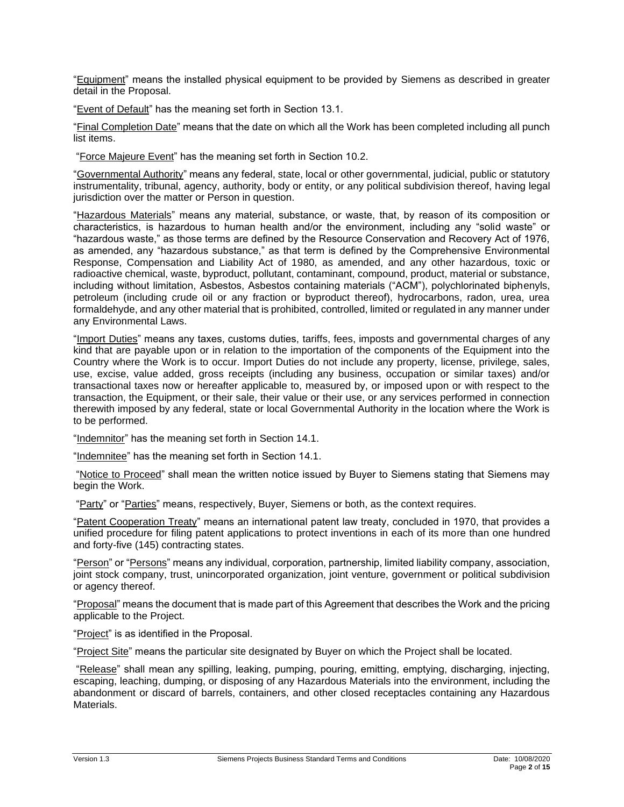"Equipment" means the installed physical equipment to be provided by Siemens as described in greater detail in the Proposal.

"Event of Default" has the meaning set forth in Section 13.1.

"Final Completion Date" means that the date on which all the Work has been completed including all punch list items.

"Force Majeure Event" has the meaning set forth in Section 10.2.

"Governmental Authority" means any federal, state, local or other governmental, judicial, public or statutory instrumentality, tribunal, agency, authority, body or entity, or any political subdivision thereof, having legal jurisdiction over the matter or Person in question.

"Hazardous Materials" means any material, substance, or waste, that, by reason of its composition or characteristics, is hazardous to human health and/or the environment, including any "solid waste" or "hazardous waste," as those terms are defined by the Resource Conservation and Recovery Act of 1976, as amended, any "hazardous substance," as that term is defined by the Comprehensive Environmental Response, Compensation and Liability Act of 1980, as amended, and any other hazardous, toxic or radioactive chemical, waste, byproduct, pollutant, contaminant, compound, product, material or substance, including without limitation, Asbestos, Asbestos containing materials ("ACM"), polychlorinated biphenyls, petroleum (including crude oil or any fraction or byproduct thereof), hydrocarbons, radon, urea, urea formaldehyde, and any other material that is prohibited, controlled, limited or regulated in any manner under any Environmental Laws.

"Import Duties" means any taxes, customs duties, tariffs, fees, imposts and governmental charges of any kind that are payable upon or in relation to the importation of the components of the Equipment into the Country where the Work is to occur. Import Duties do not include any property, license, privilege, sales, use, excise, value added, gross receipts (including any business, occupation or similar taxes) and/or transactional taxes now or hereafter applicable to, measured by, or imposed upon or with respect to the transaction, the Equipment, or their sale, their value or their use, or any services performed in connection therewith imposed by any federal, state or local Governmental Authority in the location where the Work is to be performed.

"Indemnitor" has the meaning set forth in Section 14.1.

"Indemnitee" has the meaning set forth in Section 14.1.

"Notice to Proceed" shall mean the written notice issued by Buyer to Siemens stating that Siemens may begin the Work.

"Party" or "Parties" means, respectively, Buyer, Siemens or both, as the context requires.

"Patent Cooperation Treaty" means an international patent law treaty, concluded in 1970, that provides a unified procedure for filing patent applications to protect inventions in each of its more than one hundred and forty-five (145) contracting states.

"Person" or "Persons" means any individual, corporation, partnership, limited liability company, association, joint stock company, trust, unincorporated organization, joint venture, government or political subdivision or agency thereof.

"Proposal" means the document that is made part of this Agreement that describes the Work and the pricing applicable to the Project.

"Project" is as identified in the Proposal.

"Project Site" means the particular site designated by Buyer on which the Project shall be located.

"Release" shall mean any spilling, leaking, pumping, pouring, emitting, emptying, discharging, injecting, escaping, leaching, dumping, or disposing of any Hazardous Materials into the environment, including the abandonment or discard of barrels, containers, and other closed receptacles containing any Hazardous Materials.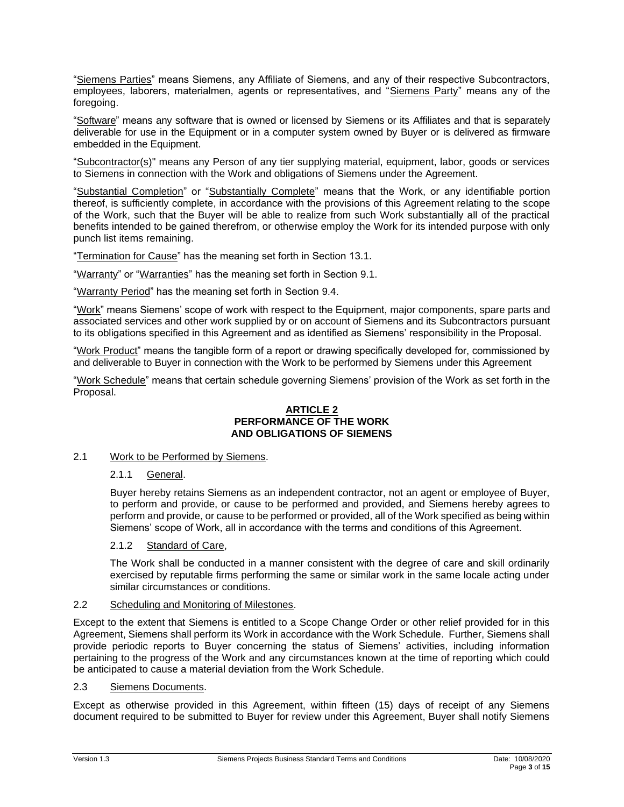"Siemens Parties" means Siemens, any Affiliate of Siemens, and any of their respective Subcontractors, employees, laborers, materialmen, agents or representatives, and "Siemens Party" means any of the foregoing.

"Software" means any software that is owned or licensed by Siemens or its Affiliates and that is separately deliverable for use in the Equipment or in a computer system owned by Buyer or is delivered as firmware embedded in the Equipment.

"Subcontractor(s)" means any Person of any tier supplying material, equipment, labor, goods or services to Siemens in connection with the Work and obligations of Siemens under the Agreement.

"Substantial Completion" or "Substantially Complete" means that the Work, or any identifiable portion thereof, is sufficiently complete, in accordance with the provisions of this Agreement relating to the scope of the Work, such that the Buyer will be able to realize from such Work substantially all of the practical benefits intended to be gained therefrom, or otherwise employ the Work for its intended purpose with only punch list items remaining.

"Termination for Cause" has the meaning set forth in Section 13.1.

"Warranty" or "Warranties" has the meaning set forth in Section 9.1.

"Warranty Period" has the meaning set forth in Section 9.4.

"Work" means Siemens' scope of work with respect to the Equipment, major components, spare parts and associated services and other work supplied by or on account of Siemens and its Subcontractors pursuant to its obligations specified in this Agreement and as identified as Siemens' responsibility in the Proposal.

"Work Product" means the tangible form of a report or drawing specifically developed for, commissioned by and deliverable to Buyer in connection with the Work to be performed by Siemens under this Agreement

"Work Schedule" means that certain schedule governing Siemens' provision of the Work as set forth in the Proposal.

#### **ARTICLE 2 PERFORMANCE OF THE WORK AND OBLIGATIONS OF SIEMENS**

## 2.1 Work to be Performed by Siemens.

#### 2.1.1 General.

Buyer hereby retains Siemens as an independent contractor, not an agent or employee of Buyer, to perform and provide, or cause to be performed and provided, and Siemens hereby agrees to perform and provide, or cause to be performed or provided, all of the Work specified as being within Siemens' scope of Work, all in accordance with the terms and conditions of this Agreement.

#### 2.1.2 Standard of Care,

The Work shall be conducted in a manner consistent with the degree of care and skill ordinarily exercised by reputable firms performing the same or similar work in the same locale acting under similar circumstances or conditions.

#### 2.2 Scheduling and Monitoring of Milestones.

Except to the extent that Siemens is entitled to a Scope Change Order or other relief provided for in this Agreement, Siemens shall perform its Work in accordance with the Work Schedule. Further, Siemens shall provide periodic reports to Buyer concerning the status of Siemens' activities, including information pertaining to the progress of the Work and any circumstances known at the time of reporting which could be anticipated to cause a material deviation from the Work Schedule.

#### 2.3 Siemens Documents.

Except as otherwise provided in this Agreement, within fifteen (15) days of receipt of any Siemens document required to be submitted to Buyer for review under this Agreement, Buyer shall notify Siemens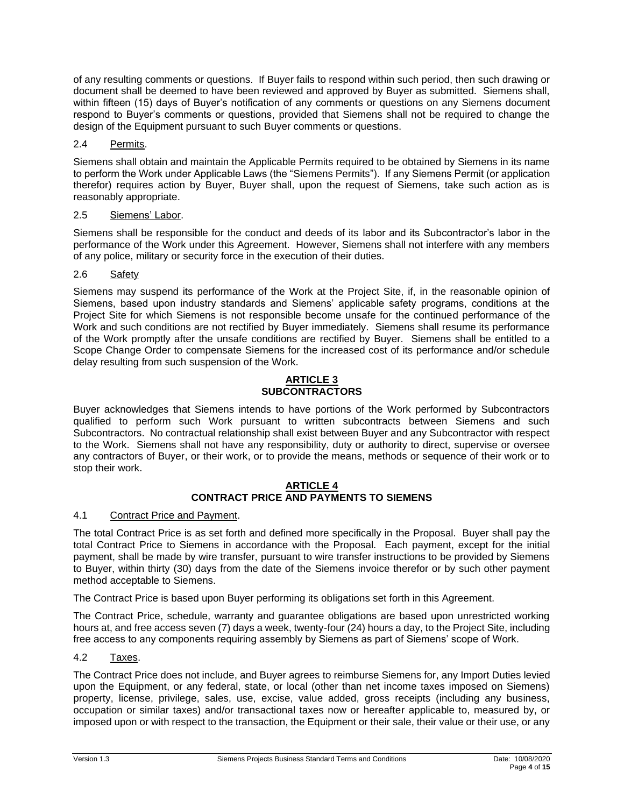of any resulting comments or questions. If Buyer fails to respond within such period, then such drawing or document shall be deemed to have been reviewed and approved by Buyer as submitted. Siemens shall, within fifteen (15) days of Buyer's notification of any comments or questions on any Siemens document respond to Buyer's comments or questions, provided that Siemens shall not be required to change the design of the Equipment pursuant to such Buyer comments or questions.

## 2.4 Permits.

Siemens shall obtain and maintain the Applicable Permits required to be obtained by Siemens in its name to perform the Work under Applicable Laws (the "Siemens Permits"). If any Siemens Permit (or application therefor) requires action by Buyer, Buyer shall, upon the request of Siemens, take such action as is reasonably appropriate.

# 2.5 Siemens' Labor.

Siemens shall be responsible for the conduct and deeds of its labor and its Subcontractor's labor in the performance of the Work under this Agreement. However, Siemens shall not interfere with any members of any police, military or security force in the execution of their duties.

# 2.6 Safety

Siemens may suspend its performance of the Work at the Project Site, if, in the reasonable opinion of Siemens, based upon industry standards and Siemens' applicable safety programs, conditions at the Project Site for which Siemens is not responsible become unsafe for the continued performance of the Work and such conditions are not rectified by Buyer immediately. Siemens shall resume its performance of the Work promptly after the unsafe conditions are rectified by Buyer. Siemens shall be entitled to a Scope Change Order to compensate Siemens for the increased cost of its performance and/or schedule delay resulting from such suspension of the Work.

#### **ARTICLE 3 SUBCONTRACTORS**

Buyer acknowledges that Siemens intends to have portions of the Work performed by Subcontractors qualified to perform such Work pursuant to written subcontracts between Siemens and such Subcontractors. No contractual relationship shall exist between Buyer and any Subcontractor with respect to the Work. Siemens shall not have any responsibility, duty or authority to direct, supervise or oversee any contractors of Buyer, or their work, or to provide the means, methods or sequence of their work or to stop their work.

#### **ARTICLE 4 CONTRACT PRICE AND PAYMENTS TO SIEMENS**

## 4.1 Contract Price and Payment.

The total Contract Price is as set forth and defined more specifically in the Proposal. Buyer shall pay the total Contract Price to Siemens in accordance with the Proposal. Each payment, except for the initial payment, shall be made by wire transfer, pursuant to wire transfer instructions to be provided by Siemens to Buyer, within thirty (30) days from the date of the Siemens invoice therefor or by such other payment method acceptable to Siemens.

The Contract Price is based upon Buyer performing its obligations set forth in this Agreement.

The Contract Price, schedule, warranty and guarantee obligations are based upon unrestricted working hours at, and free access seven (7) days a week, twenty-four (24) hours a day, to the Project Site, including free access to any components requiring assembly by Siemens as part of Siemens' scope of Work.

## 4.2 Taxes.

The Contract Price does not include, and Buyer agrees to reimburse Siemens for, any Import Duties levied upon the Equipment, or any federal, state, or local (other than net income taxes imposed on Siemens) property, license, privilege, sales, use, excise, value added, gross receipts (including any business, occupation or similar taxes) and/or transactional taxes now or hereafter applicable to, measured by, or imposed upon or with respect to the transaction, the Equipment or their sale, their value or their use, or any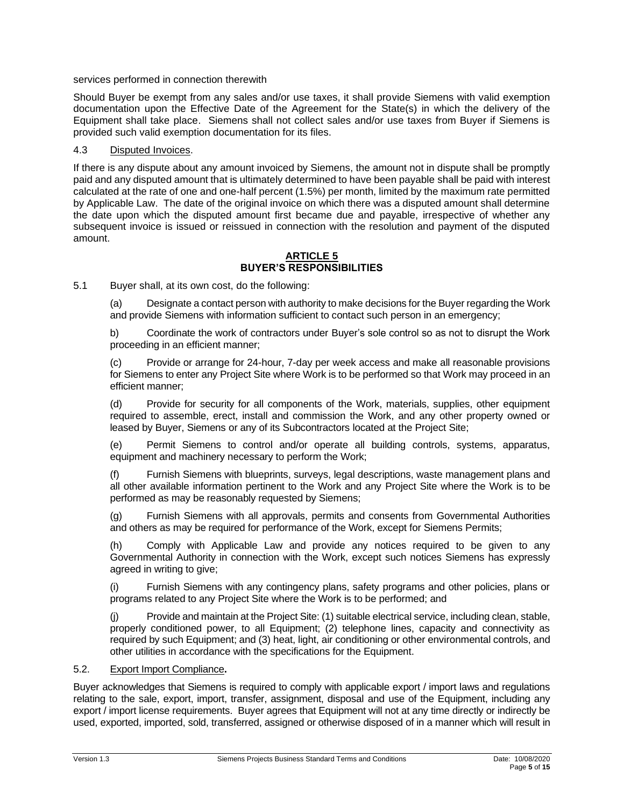services performed in connection therewith

Should Buyer be exempt from any sales and/or use taxes, it shall provide Siemens with valid exemption documentation upon the Effective Date of the Agreement for the State(s) in which the delivery of the Equipment shall take place. Siemens shall not collect sales and/or use taxes from Buyer if Siemens is provided such valid exemption documentation for its files.

#### 4.3 Disputed Invoices.

If there is any dispute about any amount invoiced by Siemens, the amount not in dispute shall be promptly paid and any disputed amount that is ultimately determined to have been payable shall be paid with interest calculated at the rate of one and one-half percent (1.5%) per month, limited by the maximum rate permitted by Applicable Law. The date of the original invoice on which there was a disputed amount shall determine the date upon which the disputed amount first became due and payable, irrespective of whether any subsequent invoice is issued or reissued in connection with the resolution and payment of the disputed amount.

#### **ARTICLE 5 BUYER'S RESPONSIBILITIES**

5.1 Buyer shall, at its own cost, do the following:

(a) Designate a contact person with authority to make decisions for the Buyer regarding the Work and provide Siemens with information sufficient to contact such person in an emergency;

b) Coordinate the work of contractors under Buyer's sole control so as not to disrupt the Work proceeding in an efficient manner;

(c) Provide or arrange for 24-hour, 7-day per week access and make all reasonable provisions for Siemens to enter any Project Site where Work is to be performed so that Work may proceed in an efficient manner;

(d) Provide for security for all components of the Work, materials, supplies, other equipment required to assemble, erect, install and commission the Work, and any other property owned or leased by Buyer, Siemens or any of its Subcontractors located at the Project Site;

(e) Permit Siemens to control and/or operate all building controls, systems, apparatus, equipment and machinery necessary to perform the Work;

(f) Furnish Siemens with blueprints, surveys, legal descriptions, waste management plans and all other available information pertinent to the Work and any Project Site where the Work is to be performed as may be reasonably requested by Siemens;

(g) Furnish Siemens with all approvals, permits and consents from Governmental Authorities and others as may be required for performance of the Work, except for Siemens Permits;

(h) Comply with Applicable Law and provide any notices required to be given to any Governmental Authority in connection with the Work, except such notices Siemens has expressly agreed in writing to give;

(i) Furnish Siemens with any contingency plans, safety programs and other policies, plans or programs related to any Project Site where the Work is to be performed; and

(j) Provide and maintain at the Project Site: (1) suitable electrical service, including clean, stable, properly conditioned power, to all Equipment; (2) telephone lines, capacity and connectivity as required by such Equipment; and (3) heat, light, air conditioning or other environmental controls, and other utilities in accordance with the specifications for the Equipment.

#### 5.2. Export Import Compliance**.**

Buyer acknowledges that Siemens is required to comply with applicable export / import laws and regulations relating to the sale, export, import, transfer, assignment, disposal and use of the Equipment, including any export / import license requirements. Buyer agrees that Equipment will not at any time directly or indirectly be used, exported, imported, sold, transferred, assigned or otherwise disposed of in a manner which will result in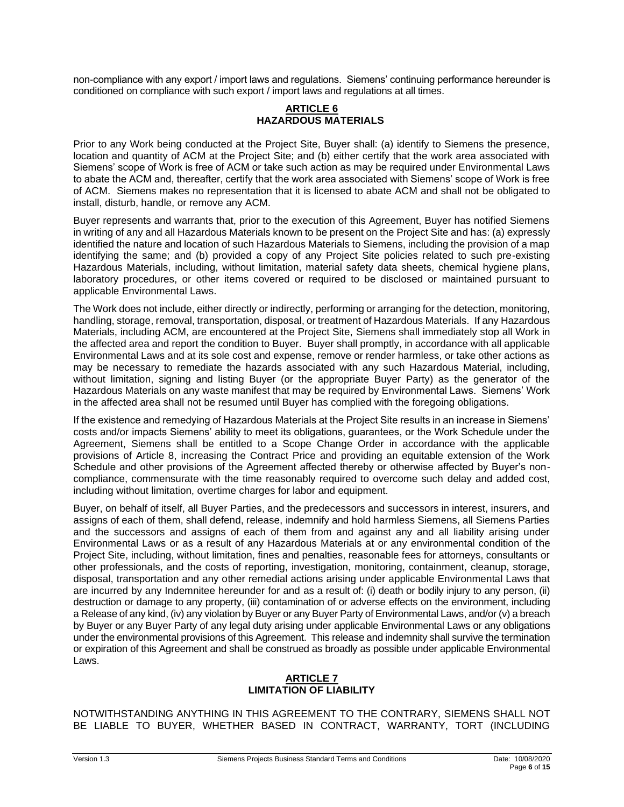non-compliance with any export / import laws and regulations. Siemens' continuing performance hereunder is conditioned on compliance with such export / import laws and regulations at all times.

## **ARTICLE 6 HAZARDOUS MATERIALS**

Prior to any Work being conducted at the Project Site, Buyer shall: (a) identify to Siemens the presence, location and quantity of ACM at the Project Site; and (b) either certify that the work area associated with Siemens' scope of Work is free of ACM or take such action as may be required under Environmental Laws to abate the ACM and, thereafter, certify that the work area associated with Siemens' scope of Work is free of ACM. Siemens makes no representation that it is licensed to abate ACM and shall not be obligated to install, disturb, handle, or remove any ACM.

Buyer represents and warrants that, prior to the execution of this Agreement, Buyer has notified Siemens in writing of any and all Hazardous Materials known to be present on the Project Site and has: (a) expressly identified the nature and location of such Hazardous Materials to Siemens, including the provision of a map identifying the same; and (b) provided a copy of any Project Site policies related to such pre-existing Hazardous Materials, including, without limitation, material safety data sheets, chemical hygiene plans, laboratory procedures, or other items covered or required to be disclosed or maintained pursuant to applicable Environmental Laws.

The Work does not include, either directly or indirectly, performing or arranging for the detection, monitoring, handling, storage, removal, transportation, disposal, or treatment of Hazardous Materials. If any Hazardous Materials, including ACM, are encountered at the Project Site, Siemens shall immediately stop all Work in the affected area and report the condition to Buyer. Buyer shall promptly, in accordance with all applicable Environmental Laws and at its sole cost and expense, remove or render harmless, or take other actions as may be necessary to remediate the hazards associated with any such Hazardous Material, including, without limitation, signing and listing Buyer (or the appropriate Buyer Party) as the generator of the Hazardous Materials on any waste manifest that may be required by Environmental Laws. Siemens' Work in the affected area shall not be resumed until Buyer has complied with the foregoing obligations.

If the existence and remedying of Hazardous Materials at the Project Site results in an increase in Siemens' costs and/or impacts Siemens' ability to meet its obligations, guarantees, or the Work Schedule under the Agreement, Siemens shall be entitled to a Scope Change Order in accordance with the applicable provisions of Article 8, increasing the Contract Price and providing an equitable extension of the Work Schedule and other provisions of the Agreement affected thereby or otherwise affected by Buyer's noncompliance, commensurate with the time reasonably required to overcome such delay and added cost, including without limitation, overtime charges for labor and equipment.

Buyer, on behalf of itself, all Buyer Parties, and the predecessors and successors in interest, insurers, and assigns of each of them, shall defend, release, indemnify and hold harmless Siemens, all Siemens Parties and the successors and assigns of each of them from and against any and all liability arising under Environmental Laws or as a result of any Hazardous Materials at or any environmental condition of the Project Site, including, without limitation, fines and penalties, reasonable fees for attorneys, consultants or other professionals, and the costs of reporting, investigation, monitoring, containment, cleanup, storage, disposal, transportation and any other remedial actions arising under applicable Environmental Laws that are incurred by any Indemnitee hereunder for and as a result of: (i) death or bodily injury to any person, (ii) destruction or damage to any property, (iii) contamination of or adverse effects on the environment, including a Release of any kind, (iv) any violation by Buyer or any Buyer Party of Environmental Laws, and/or (v) a breach by Buyer or any Buyer Party of any legal duty arising under applicable Environmental Laws or any obligations under the environmental provisions of this Agreement. This release and indemnity shall survive the termination or expiration of this Agreement and shall be construed as broadly as possible under applicable Environmental Laws.

## **ARTICLE 7 LIMITATION OF LIABILITY**

NOTWITHSTANDING ANYTHING IN THIS AGREEMENT TO THE CONTRARY, SIEMENS SHALL NOT BE LIABLE TO BUYER, WHETHER BASED IN CONTRACT, WARRANTY, TORT (INCLUDING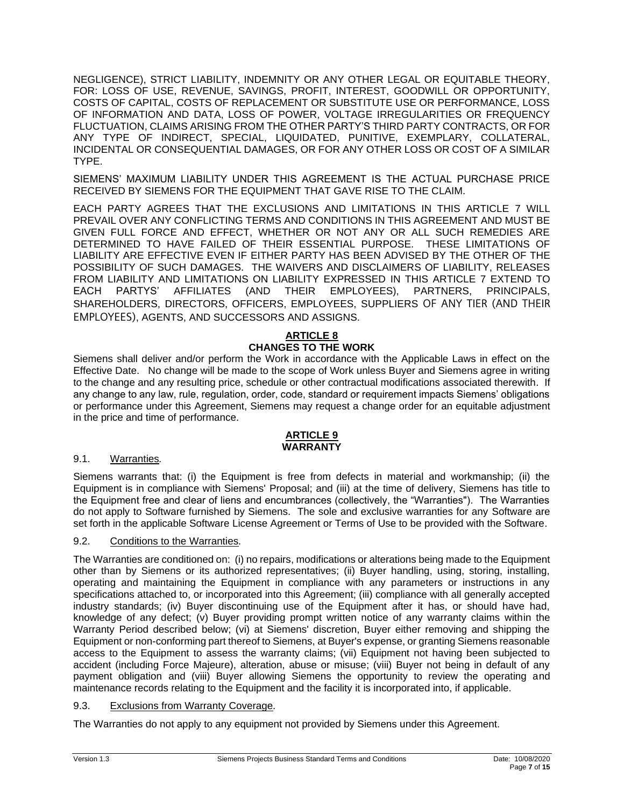NEGLIGENCE), STRICT LIABILITY, INDEMNITY OR ANY OTHER LEGAL OR EQUITABLE THEORY, FOR: LOSS OF USE, REVENUE, SAVINGS, PROFIT, INTEREST, GOODWILL OR OPPORTUNITY, COSTS OF CAPITAL, COSTS OF REPLACEMENT OR SUBSTITUTE USE OR PERFORMANCE, LOSS OF INFORMATION AND DATA, LOSS OF POWER, VOLTAGE IRREGULARITIES OR FREQUENCY FLUCTUATION, CLAIMS ARISING FROM THE OTHER PARTY'S THIRD PARTY CONTRACTS, OR FOR ANY TYPE OF INDIRECT, SPECIAL, LIQUIDATED, PUNITIVE, EXEMPLARY, COLLATERAL, INCIDENTAL OR CONSEQUENTIAL DAMAGES, OR FOR ANY OTHER LOSS OR COST OF A SIMILAR TYPE.

SIEMENS' MAXIMUM LIABILITY UNDER THIS AGREEMENT IS THE ACTUAL PURCHASE PRICE RECEIVED BY SIEMENS FOR THE EQUIPMENT THAT GAVE RISE TO THE CLAIM.

EACH PARTY AGREES THAT THE EXCLUSIONS AND LIMITATIONS IN THIS ARTICLE 7 WILL PREVAIL OVER ANY CONFLICTING TERMS AND CONDITIONS IN THIS AGREEMENT AND MUST BE GIVEN FULL FORCE AND EFFECT, WHETHER OR NOT ANY OR ALL SUCH REMEDIES ARE DETERMINED TO HAVE FAILED OF THEIR ESSENTIAL PURPOSE. THESE LIMITATIONS OF LIABILITY ARE EFFECTIVE EVEN IF EITHER PARTY HAS BEEN ADVISED BY THE OTHER OF THE POSSIBILITY OF SUCH DAMAGES. THE WAIVERS AND DISCLAIMERS OF LIABILITY, RELEASES FROM LIABILITY AND LIMITATIONS ON LIABILITY EXPRESSED IN THIS ARTICLE 7 EXTEND TO EACH PARTYS' AFFILIATES (AND THEIR EMPLOYEES), PARTNERS, PRINCIPALS, SHAREHOLDERS, DIRECTORS, OFFICERS, EMPLOYEES, SUPPLIERS OF ANY TIER (AND THEIR EMPLOYEES), AGENTS, AND SUCCESSORS AND ASSIGNS.

#### **ARTICLE 8 CHANGES TO THE WORK**

Siemens shall deliver and/or perform the Work in accordance with the Applicable Laws in effect on the Effective Date. No change will be made to the scope of Work unless Buyer and Siemens agree in writing to the change and any resulting price, schedule or other contractual modifications associated therewith. If any change to any law, rule, regulation, order, code, standard or requirement impacts Siemens' obligations or performance under this Agreement, Siemens may request a change order for an equitable adjustment in the price and time of performance.

## **ARTICLE 9 WARRANTY**

## 9.1. Warranties*.*

Siemens warrants that: (i) the Equipment is free from defects in material and workmanship; (ii) the Equipment is in compliance with Siemens' Proposal; and (iii) at the time of delivery, Siemens has title to the Equipment free and clear of liens and encumbrances (collectively, the "Warranties"). The Warranties do not apply to Software furnished by Siemens. The sole and exclusive warranties for any Software are set forth in the applicable Software License Agreement or Terms of Use to be provided with the Software.

## 9.2. Conditions to the Warranties*.*

The Warranties are conditioned on: (i) no repairs, modifications or alterations being made to the Equipment other than by Siemens or its authorized representatives; (ii) Buyer handling, using, storing, installing, operating and maintaining the Equipment in compliance with any parameters or instructions in any specifications attached to, or incorporated into this Agreement; (iii) compliance with all generally accepted industry standards; (iv) Buyer discontinuing use of the Equipment after it has, or should have had, knowledge of any defect; (v) Buyer providing prompt written notice of any warranty claims within the Warranty Period described below; (vi) at Siemens' discretion, Buyer either removing and shipping the Equipment or non-conforming part thereof to Siemens, at Buyer's expense, or granting Siemens reasonable access to the Equipment to assess the warranty claims; (vii) Equipment not having been subjected to accident (including Force Majeure), alteration, abuse or misuse; (viii) Buyer not being in default of any payment obligation and (viii) Buyer allowing Siemens the opportunity to review the operating and maintenance records relating to the Equipment and the facility it is incorporated into, if applicable.

## 9.3. Exclusions from Warranty Coverage*.*

The Warranties do not apply to any equipment not provided by Siemens under this Agreement.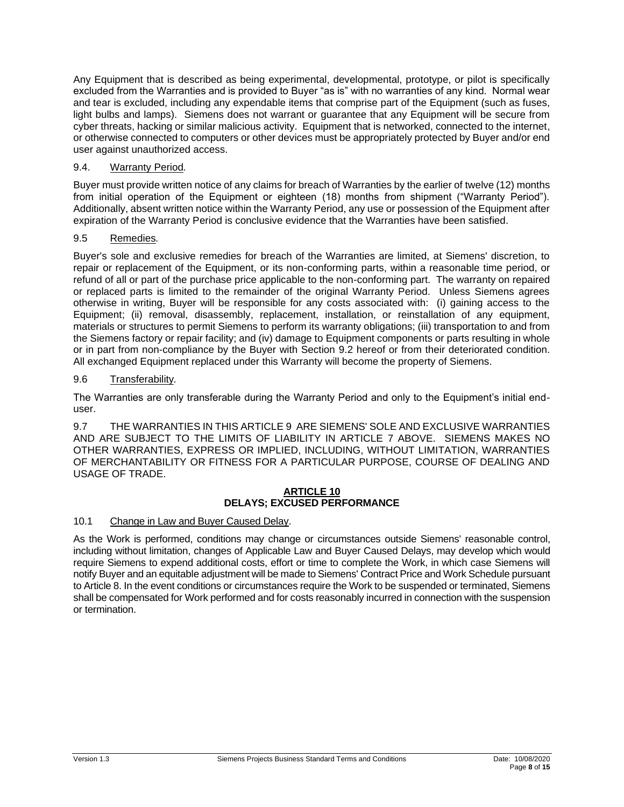Any Equipment that is described as being experimental, developmental, prototype, or pilot is specifically excluded from the Warranties and is provided to Buyer "as is" with no warranties of any kind. Normal wear and tear is excluded, including any expendable items that comprise part of the Equipment (such as fuses, light bulbs and lamps). Siemens does not warrant or guarantee that any Equipment will be secure from cyber threats, hacking or similar malicious activity. Equipment that is networked, connected to the internet, or otherwise connected to computers or other devices must be appropriately protected by Buyer and/or end user against unauthorized access.

# 9.4. Warranty Period*.*

Buyer must provide written notice of any claims for breach of Warranties by the earlier of twelve (12) months from initial operation of the Equipment or eighteen (18) months from shipment ("Warranty Period"). Additionally, absent written notice within the Warranty Period, any use or possession of the Equipment after expiration of the Warranty Period is conclusive evidence that the Warranties have been satisfied.

## 9.5 Remedies*.*

Buyer's sole and exclusive remedies for breach of the Warranties are limited, at Siemens' discretion, to repair or replacement of the Equipment, or its non-conforming parts, within a reasonable time period, or refund of all or part of the purchase price applicable to the non-conforming part. The warranty on repaired or replaced parts is limited to the remainder of the original Warranty Period. Unless Siemens agrees otherwise in writing, Buyer will be responsible for any costs associated with: (i) gaining access to the Equipment; (ii) removal, disassembly, replacement, installation, or reinstallation of any equipment, materials or structures to permit Siemens to perform its warranty obligations; (iii) transportation to and from the Siemens factory or repair facility; and (iv) damage to Equipment components or parts resulting in whole or in part from non-compliance by the Buyer with Section 9.2 hereof or from their deteriorated condition. All exchanged Equipment replaced under this Warranty will become the property of Siemens.

## 9.6 Transferability*.*

The Warranties are only transferable during the Warranty Period and only to the Equipment's initial enduser.

9.7 THE WARRANTIES IN THIS ARTICLE 9 ARE SIEMENS' SOLE AND EXCLUSIVE WARRANTIES AND ARE SUBJECT TO THE LIMITS OF LIABILITY IN ARTICLE 7 ABOVE. SIEMENS MAKES NO OTHER WARRANTIES, EXPRESS OR IMPLIED, INCLUDING, WITHOUT LIMITATION, WARRANTIES OF MERCHANTABILITY OR FITNESS FOR A PARTICULAR PURPOSE, COURSE OF DEALING AND USAGE OF TRADE.

#### **ARTICLE 10 DELAYS; EXCUSED PERFORMANCE**

# 10.1 Change in Law and Buyer Caused Delay.

As the Work is performed, conditions may change or circumstances outside Siemens' reasonable control, including without limitation, changes of Applicable Law and Buyer Caused Delays, may develop which would require Siemens to expend additional costs, effort or time to complete the Work, in which case Siemens will notify Buyer and an equitable adjustment will be made to Siemens' Contract Price and Work Schedule pursuant to Article 8. In the event conditions or circumstances require the Work to be suspended or terminated, Siemens shall be compensated for Work performed and for costs reasonably incurred in connection with the suspension or termination.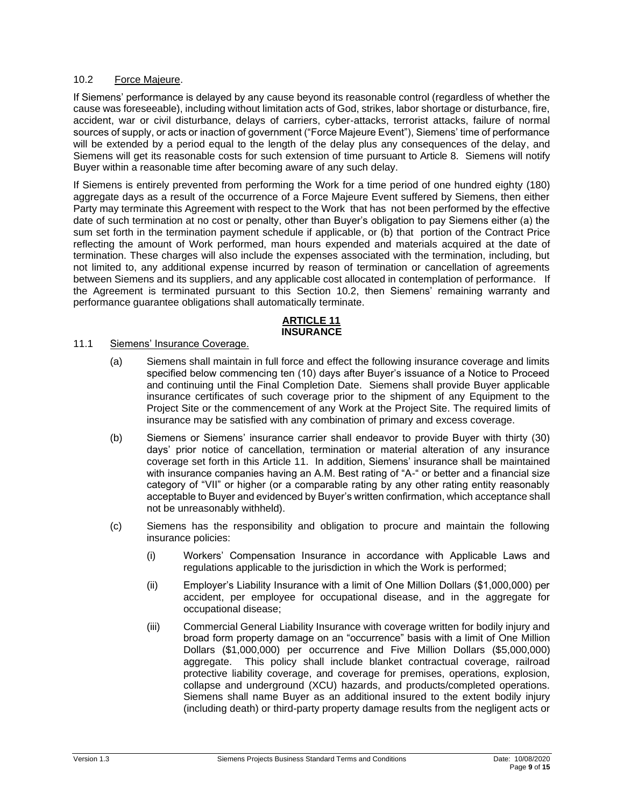#### 10.2 Force Majeure.

If Siemens' performance is delayed by any cause beyond its reasonable control (regardless of whether the cause was foreseeable), including without limitation acts of God, strikes, labor shortage or disturbance, fire, accident, war or civil disturbance, delays of carriers, cyber-attacks, terrorist attacks, failure of normal sources of supply, or acts or inaction of government ("Force Majeure Event"), Siemens' time of performance will be extended by a period equal to the length of the delay plus any consequences of the delay, and Siemens will get its reasonable costs for such extension of time pursuant to Article 8. Siemens will notify Buyer within a reasonable time after becoming aware of any such delay.

If Siemens is entirely prevented from performing the Work for a time period of one hundred eighty (180) aggregate days as a result of the occurrence of a Force Majeure Event suffered by Siemens, then either Party may terminate this Agreement with respect to the Work that has not been performed by the effective date of such termination at no cost or penalty, other than Buyer's obligation to pay Siemens either (a) the sum set forth in the termination payment schedule if applicable, or (b) that portion of the Contract Price reflecting the amount of Work performed, man hours expended and materials acquired at the date of termination. These charges will also include the expenses associated with the termination, including, but not limited to, any additional expense incurred by reason of termination or cancellation of agreements between Siemens and its suppliers, and any applicable cost allocated in contemplation of performance. If the Agreement is terminated pursuant to this Section 10.2, then Siemens' remaining warranty and performance guarantee obligations shall automatically terminate.

# **ARTICLE 11 INSURANCE**

## 11.1 Siemens' Insurance Coverage.

- (a) Siemens shall maintain in full force and effect the following insurance coverage and limits specified below commencing ten (10) days after Buyer's issuance of a Notice to Proceed and continuing until the Final Completion Date. Siemens shall provide Buyer applicable insurance certificates of such coverage prior to the shipment of any Equipment to the Project Site or the commencement of any Work at the Project Site. The required limits of insurance may be satisfied with any combination of primary and excess coverage.
- (b) Siemens or Siemens' insurance carrier shall endeavor to provide Buyer with thirty (30) days' prior notice of cancellation, termination or material alteration of any insurance coverage set forth in this Article 11. In addition, Siemens' insurance shall be maintained with insurance companies having an A.M. Best rating of "A-" or better and a financial size category of "VII" or higher (or a comparable rating by any other rating entity reasonably acceptable to Buyer and evidenced by Buyer's written confirmation, which acceptance shall not be unreasonably withheld).
- (c) Siemens has the responsibility and obligation to procure and maintain the following insurance policies:
	- (i) Workers' Compensation Insurance in accordance with Applicable Laws and regulations applicable to the jurisdiction in which the Work is performed;
	- (ii) Employer's Liability Insurance with a limit of One Million Dollars (\$1,000,000) per accident, per employee for occupational disease, and in the aggregate for occupational disease;
	- (iii) Commercial General Liability Insurance with coverage written for bodily injury and broad form property damage on an "occurrence" basis with a limit of One Million Dollars (\$1,000,000) per occurrence and Five Million Dollars (\$5,000,000) aggregate. This policy shall include blanket contractual coverage, railroad protective liability coverage, and coverage for premises, operations, explosion, collapse and underground (XCU) hazards, and products/completed operations. Siemens shall name Buyer as an additional insured to the extent bodily injury (including death) or third-party property damage results from the negligent acts or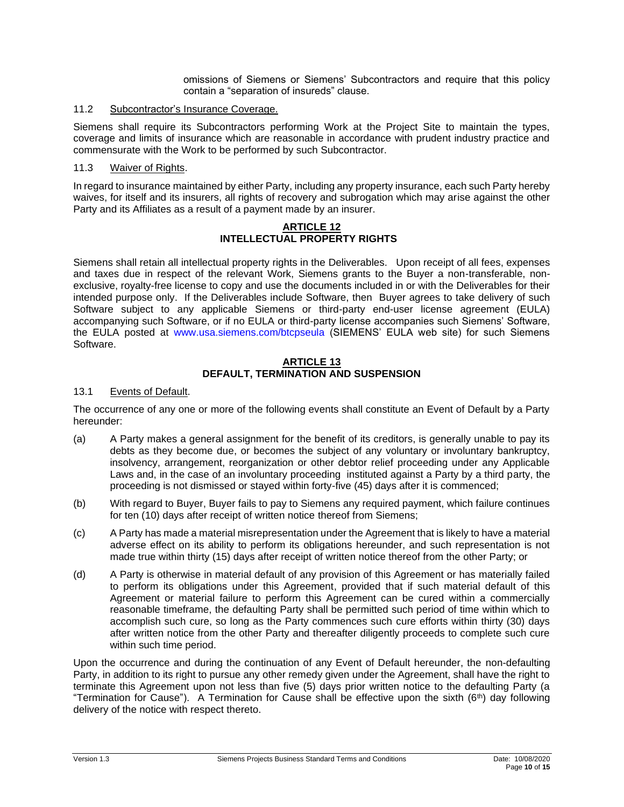omissions of Siemens or Siemens' Subcontractors and require that this policy contain a "separation of insureds" clause.

## 11.2 Subcontractor's Insurance Coverage.

Siemens shall require its Subcontractors performing Work at the Project Site to maintain the types, coverage and limits of insurance which are reasonable in accordance with prudent industry practice and commensurate with the Work to be performed by such Subcontractor.

## 11.3 Waiver of Rights.

In regard to insurance maintained by either Party, including any property insurance, each such Party hereby waives, for itself and its insurers, all rights of recovery and subrogation which may arise against the other Party and its Affiliates as a result of a payment made by an insurer.

#### **ARTICLE 12 INTELLECTUAL PROPERTY RIGHTS**

Siemens shall retain all intellectual property rights in the Deliverables. Upon receipt of all fees, expenses and taxes due in respect of the relevant Work, Siemens grants to the Buyer a non-transferable, nonexclusive, royalty-free license to copy and use the documents included in or with the Deliverables for their intended purpose only. If the Deliverables include Software, then Buyer agrees to take delivery of such Software subject to any applicable Siemens or third-party end-user license agreement (EULA) accompanying such Software, or if no EULA or third-party license accompanies such Siemens' Software, the EULA posted at [www.usa.siemens.com/btcpseula](http://www.usa.siemens.com/btcpseula) (SIEMENS' EULA web site) for such Siemens Software.

#### **ARTICLE 13 DEFAULT, TERMINATION AND SUSPENSION**

## 13.1 Events of Default.

The occurrence of any one or more of the following events shall constitute an Event of Default by a Party hereunder:

- (a) A Party makes a general assignment for the benefit of its creditors, is generally unable to pay its debts as they become due, or becomes the subject of any voluntary or involuntary bankruptcy, insolvency, arrangement, reorganization or other debtor relief proceeding under any Applicable Laws and, in the case of an involuntary proceeding instituted against a Party by a third party, the proceeding is not dismissed or stayed within forty-five (45) days after it is commenced;
- (b) With regard to Buyer, Buyer fails to pay to Siemens any required payment, which failure continues for ten (10) days after receipt of written notice thereof from Siemens;
- (c) A Party has made a material misrepresentation under the Agreement that is likely to have a material adverse effect on its ability to perform its obligations hereunder, and such representation is not made true within thirty (15) days after receipt of written notice thereof from the other Party; or
- (d) A Party is otherwise in material default of any provision of this Agreement or has materially failed to perform its obligations under this Agreement, provided that if such material default of this Agreement or material failure to perform this Agreement can be cured within a commercially reasonable timeframe, the defaulting Party shall be permitted such period of time within which to accomplish such cure, so long as the Party commences such cure efforts within thirty (30) days after written notice from the other Party and thereafter diligently proceeds to complete such cure within such time period.

Upon the occurrence and during the continuation of any Event of Default hereunder, the non-defaulting Party, in addition to its right to pursue any other remedy given under the Agreement, shall have the right to terminate this Agreement upon not less than five (5) days prior written notice to the defaulting Party (a "Termination for Cause"). A Termination for Cause shall be effective upon the sixth (6<sup>th</sup>) day following delivery of the notice with respect thereto.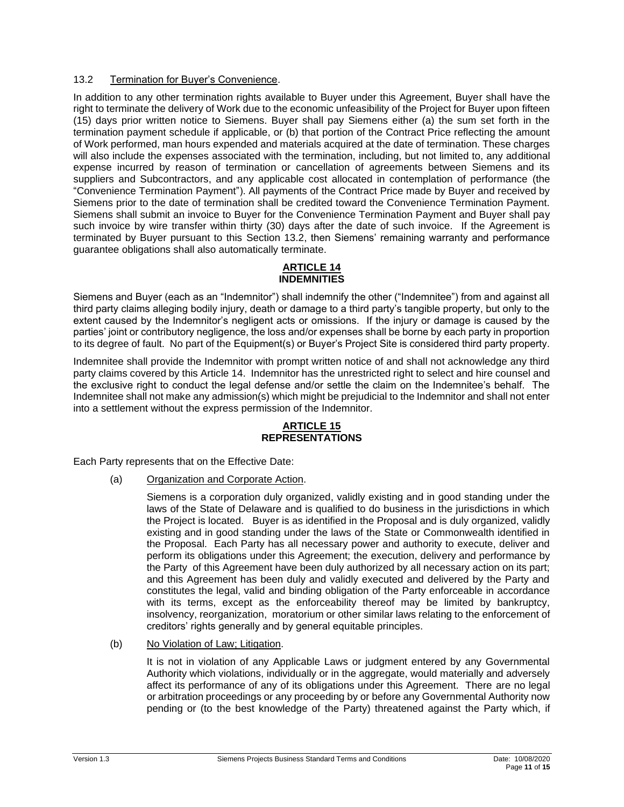#### 13.2 Termination for Buyer's Convenience.

In addition to any other termination rights available to Buyer under this Agreement, Buyer shall have the right to terminate the delivery of Work due to the economic unfeasibility of the Project for Buyer upon fifteen (15) days prior written notice to Siemens. Buyer shall pay Siemens either (a) the sum set forth in the termination payment schedule if applicable, or (b) that portion of the Contract Price reflecting the amount of Work performed, man hours expended and materials acquired at the date of termination. These charges will also include the expenses associated with the termination, including, but not limited to, any additional expense incurred by reason of termination or cancellation of agreements between Siemens and its suppliers and Subcontractors, and any applicable cost allocated in contemplation of performance (the "Convenience Termination Payment"). All payments of the Contract Price made by Buyer and received by Siemens prior to the date of termination shall be credited toward the Convenience Termination Payment. Siemens shall submit an invoice to Buyer for the Convenience Termination Payment and Buyer shall pay such invoice by wire transfer within thirty (30) days after the date of such invoice. If the Agreement is terminated by Buyer pursuant to this Section 13.2, then Siemens' remaining warranty and performance guarantee obligations shall also automatically terminate.

#### **ARTICLE 14 INDEMNITIES**

Siemens and Buyer (each as an "Indemnitor") shall indemnify the other ("Indemnitee") from and against all third party claims alleging bodily injury, death or damage to a third party's tangible property, but only to the extent caused by the Indemnitor's negligent acts or omissions. If the injury or damage is caused by the parties' joint or contributory negligence, the loss and/or expenses shall be borne by each party in proportion to its degree of fault. No part of the Equipment(s) or Buyer's Project Site is considered third party property.

Indemnitee shall provide the Indemnitor with prompt written notice of and shall not acknowledge any third party claims covered by this Article 14. Indemnitor has the unrestricted right to select and hire counsel and the exclusive right to conduct the legal defense and/or settle the claim on the Indemnitee's behalf. The Indemnitee shall not make any admission(s) which might be prejudicial to the Indemnitor and shall not enter into a settlement without the express permission of the Indemnitor.

## **ARTICLE 15 REPRESENTATIONS**

Each Party represents that on the Effective Date:

(a) Organization and Corporate Action.

Siemens is a corporation duly organized, validly existing and in good standing under the laws of the State of Delaware and is qualified to do business in the jurisdictions in which the Project is located. Buyer is as identified in the Proposal and is duly organized, validly existing and in good standing under the laws of the State or Commonwealth identified in the Proposal. Each Party has all necessary power and authority to execute, deliver and perform its obligations under this Agreement; the execution, delivery and performance by the Party of this Agreement have been duly authorized by all necessary action on its part; and this Agreement has been duly and validly executed and delivered by the Party and constitutes the legal, valid and binding obligation of the Party enforceable in accordance with its terms, except as the enforceability thereof may be limited by bankruptcy, insolvency, reorganization, moratorium or other similar laws relating to the enforcement of creditors' rights generally and by general equitable principles.

(b) No Violation of Law; Litigation.

It is not in violation of any Applicable Laws or judgment entered by any Governmental Authority which violations, individually or in the aggregate, would materially and adversely affect its performance of any of its obligations under this Agreement. There are no legal or arbitration proceedings or any proceeding by or before any Governmental Authority now pending or (to the best knowledge of the Party) threatened against the Party which, if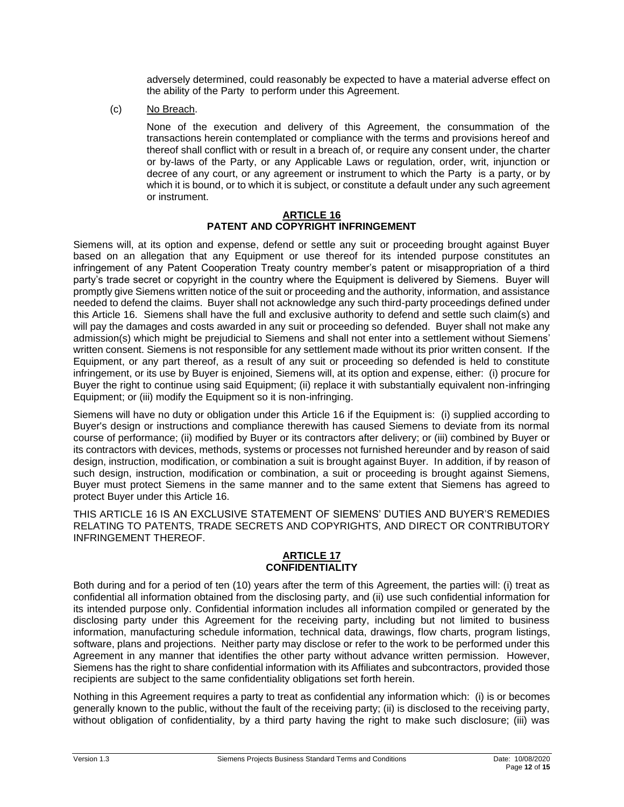adversely determined, could reasonably be expected to have a material adverse effect on the ability of the Party to perform under this Agreement.

(c) No Breach.

None of the execution and delivery of this Agreement, the consummation of the transactions herein contemplated or compliance with the terms and provisions hereof and thereof shall conflict with or result in a breach of, or require any consent under, the charter or by-laws of the Party, or any Applicable Laws or regulation, order, writ, injunction or decree of any court, or any agreement or instrument to which the Party is a party, or by which it is bound, or to which it is subject, or constitute a default under any such agreement or instrument.

#### **ARTICLE 16 PATENT AND COPYRIGHT INFRINGEMENT**

Siemens will, at its option and expense, defend or settle any suit or proceeding brought against Buyer based on an allegation that any Equipment or use thereof for its intended purpose constitutes an infringement of any Patent Cooperation Treaty country member's patent or misappropriation of a third party's trade secret or copyright in the country where the Equipment is delivered by Siemens. Buyer will promptly give Siemens written notice of the suit or proceeding and the authority, information, and assistance needed to defend the claims. Buyer shall not acknowledge any such third-party proceedings defined under this Article 16. Siemens shall have the full and exclusive authority to defend and settle such claim(s) and will pay the damages and costs awarded in any suit or proceeding so defended. Buyer shall not make any admission(s) which might be prejudicial to Siemens and shall not enter into a settlement without Siemens' written consent. Siemens is not responsible for any settlement made without its prior written consent. If the Equipment, or any part thereof, as a result of any suit or proceeding so defended is held to constitute infringement, or its use by Buyer is enjoined, Siemens will, at its option and expense, either: (i) procure for Buyer the right to continue using said Equipment; (ii) replace it with substantially equivalent non-infringing Equipment; or (iii) modify the Equipment so it is non-infringing.

Siemens will have no duty or obligation under this Article 16 if the Equipment is: (i) supplied according to Buyer's design or instructions and compliance therewith has caused Siemens to deviate from its normal course of performance; (ii) modified by Buyer or its contractors after delivery; or (iii) combined by Buyer or its contractors with devices, methods, systems or processes not furnished hereunder and by reason of said design, instruction, modification, or combination a suit is brought against Buyer. In addition, if by reason of such design, instruction, modification or combination, a suit or proceeding is brought against Siemens, Buyer must protect Siemens in the same manner and to the same extent that Siemens has agreed to protect Buyer under this Article 16.

THIS ARTICLE 16 IS AN EXCLUSIVE STATEMENT OF SIEMENS' DUTIES AND BUYER'S REMEDIES RELATING TO PATENTS, TRADE SECRETS AND COPYRIGHTS, AND DIRECT OR CONTRIBUTORY INFRINGEMENT THEREOF.

## **ARTICLE 17 CONFIDENTIALITY**

Both during and for a period of ten (10) years after the term of this Agreement, the parties will: (i) treat as confidential all information obtained from the disclosing party, and (ii) use such confidential information for its intended purpose only. Confidential information includes all information compiled or generated by the disclosing party under this Agreement for the receiving party, including but not limited to business information, manufacturing schedule information, technical data, drawings, flow charts, program listings, software, plans and projections. Neither party may disclose or refer to the work to be performed under this Agreement in any manner that identifies the other party without advance written permission. However, Siemens has the right to share confidential information with its Affiliates and subcontractors, provided those recipients are subject to the same confidentiality obligations set forth herein.

Nothing in this Agreement requires a party to treat as confidential any information which: (i) is or becomes generally known to the public, without the fault of the receiving party; (ii) is disclosed to the receiving party, without obligation of confidentiality, by a third party having the right to make such disclosure; (iii) was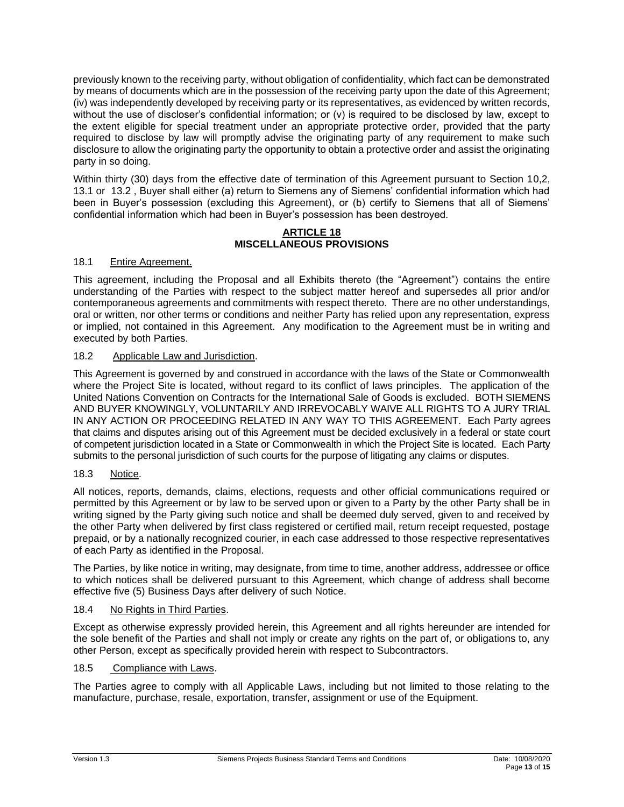previously known to the receiving party, without obligation of confidentiality, which fact can be demonstrated by means of documents which are in the possession of the receiving party upon the date of this Agreement; (iv) was independently developed by receiving party or its representatives, as evidenced by written records, without the use of discloser's confidential information; or (v) is required to be disclosed by law, except to the extent eligible for special treatment under an appropriate protective order, provided that the party required to disclose by law will promptly advise the originating party of any requirement to make such disclosure to allow the originating party the opportunity to obtain a protective order and assist the originating party in so doing.

Within thirty (30) days from the effective date of termination of this Agreement pursuant to Section 10,2, 13.1 or 13.2 , Buyer shall either (a) return to Siemens any of Siemens' confidential information which had been in Buyer's possession (excluding this Agreement), or (b) certify to Siemens that all of Siemens' confidential information which had been in Buyer's possession has been destroyed.

## **ARTICLE 18 MISCELLANEOUS PROVISIONS**

# 18.1 Entire Agreement.

This agreement, including the Proposal and all Exhibits thereto (the "Agreement") contains the entire understanding of the Parties with respect to the subject matter hereof and supersedes all prior and/or contemporaneous agreements and commitments with respect thereto. There are no other understandings, oral or written, nor other terms or conditions and neither Party has relied upon any representation, express or implied, not contained in this Agreement. Any modification to the Agreement must be in writing and executed by both Parties.

## 18.2 Applicable Law and Jurisdiction.

This Agreement is governed by and construed in accordance with the laws of the State or Commonwealth where the Project Site is located, without regard to its conflict of laws principles. The application of the United Nations Convention on Contracts for the International Sale of Goods is excluded. BOTH SIEMENS AND BUYER KNOWINGLY, VOLUNTARILY AND IRREVOCABLY WAIVE ALL RIGHTS TO A JURY TRIAL IN ANY ACTION OR PROCEEDING RELATED IN ANY WAY TO THIS AGREEMENT. Each Party agrees that claims and disputes arising out of this Agreement must be decided exclusively in a federal or state court of competent jurisdiction located in a State or Commonwealth in which the Project Site is located. Each Party submits to the personal jurisdiction of such courts for the purpose of litigating any claims or disputes.

## 18.3 Notice.

All notices, reports, demands, claims, elections, requests and other official communications required or permitted by this Agreement or by law to be served upon or given to a Party by the other Party shall be in writing signed by the Party giving such notice and shall be deemed duly served, given to and received by the other Party when delivered by first class registered or certified mail, return receipt requested, postage prepaid, or by a nationally recognized courier, in each case addressed to those respective representatives of each Party as identified in the Proposal.

The Parties, by like notice in writing, may designate, from time to time, another address, addressee or office to which notices shall be delivered pursuant to this Agreement, which change of address shall become effective five (5) Business Days after delivery of such Notice.

## 18.4 No Rights in Third Parties.

Except as otherwise expressly provided herein, this Agreement and all rights hereunder are intended for the sole benefit of the Parties and shall not imply or create any rights on the part of, or obligations to, any other Person, except as specifically provided herein with respect to Subcontractors.

## 18.5 Compliance with Laws.

The Parties agree to comply with all Applicable Laws, including but not limited to those relating to the manufacture, purchase, resale, exportation, transfer, assignment or use of the Equipment.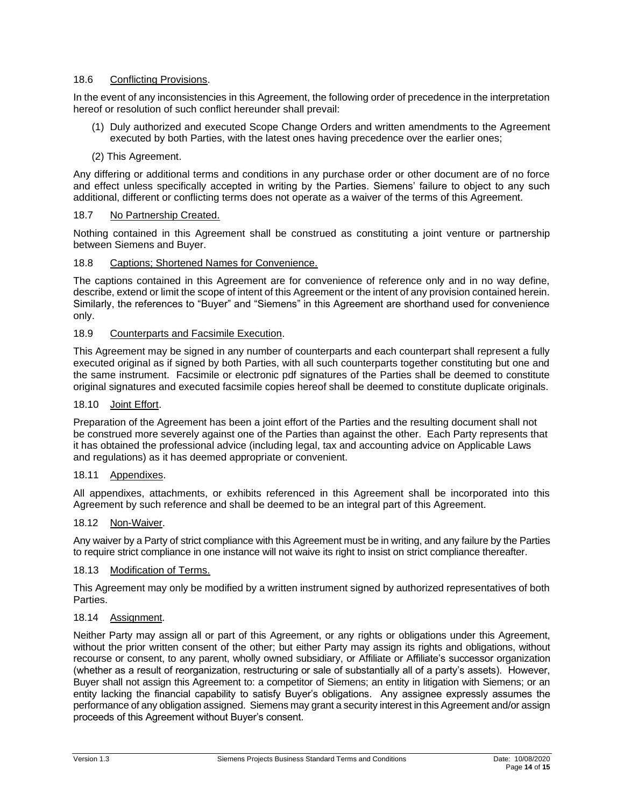## 18.6 Conflicting Provisions.

In the event of any inconsistencies in this Agreement, the following order of precedence in the interpretation hereof or resolution of such conflict hereunder shall prevail:

- (1) Duly authorized and executed Scope Change Orders and written amendments to the Agreement executed by both Parties, with the latest ones having precedence over the earlier ones;
- (2) This Agreement.

Any differing or additional terms and conditions in any purchase order or other document are of no force and effect unless specifically accepted in writing by the Parties. Siemens' failure to object to any such additional, different or conflicting terms does not operate as a waiver of the terms of this Agreement.

## 18.7 No Partnership Created.

Nothing contained in this Agreement shall be construed as constituting a joint venture or partnership between Siemens and Buyer.

## 18.8 Captions; Shortened Names for Convenience.

The captions contained in this Agreement are for convenience of reference only and in no way define, describe, extend or limit the scope of intent of this Agreement or the intent of any provision contained herein. Similarly, the references to "Buyer" and "Siemens" in this Agreement are shorthand used for convenience only.

## 18.9 Counterparts and Facsimile Execution.

This Agreement may be signed in any number of counterparts and each counterpart shall represent a fully executed original as if signed by both Parties, with all such counterparts together constituting but one and the same instrument. Facsimile or electronic pdf signatures of the Parties shall be deemed to constitute original signatures and executed facsimile copies hereof shall be deemed to constitute duplicate originals.

#### 18.10 Joint Effort.

Preparation of the Agreement has been a joint effort of the Parties and the resulting document shall not be construed more severely against one of the Parties than against the other. Each Party represents that it has obtained the professional advice (including legal, tax and accounting advice on Applicable Laws and regulations) as it has deemed appropriate or convenient.

#### 18.11 Appendixes.

All appendixes, attachments, or exhibits referenced in this Agreement shall be incorporated into this Agreement by such reference and shall be deemed to be an integral part of this Agreement.

#### 18.12 Non-Waiver.

Any waiver by a Party of strict compliance with this Agreement must be in writing, and any failure by the Parties to require strict compliance in one instance will not waive its right to insist on strict compliance thereafter.

## 18.13 Modification of Terms.

This Agreement may only be modified by a written instrument signed by authorized representatives of both Parties.

#### 18.14 Assignment.

Neither Party may assign all or part of this Agreement, or any rights or obligations under this Agreement, without the prior written consent of the other; but either Party may assign its rights and obligations, without recourse or consent, to any parent, wholly owned subsidiary, or Affiliate or Affiliate's successor organization (whether as a result of reorganization, restructuring or sale of substantially all of a party's assets). However, Buyer shall not assign this Agreement to: a competitor of Siemens; an entity in litigation with Siemens; or an entity lacking the financial capability to satisfy Buyer's obligations. Any assignee expressly assumes the performance of any obligation assigned. Siemens may grant a security interest in this Agreement and/or assign proceeds of this Agreement without Buyer's consent.